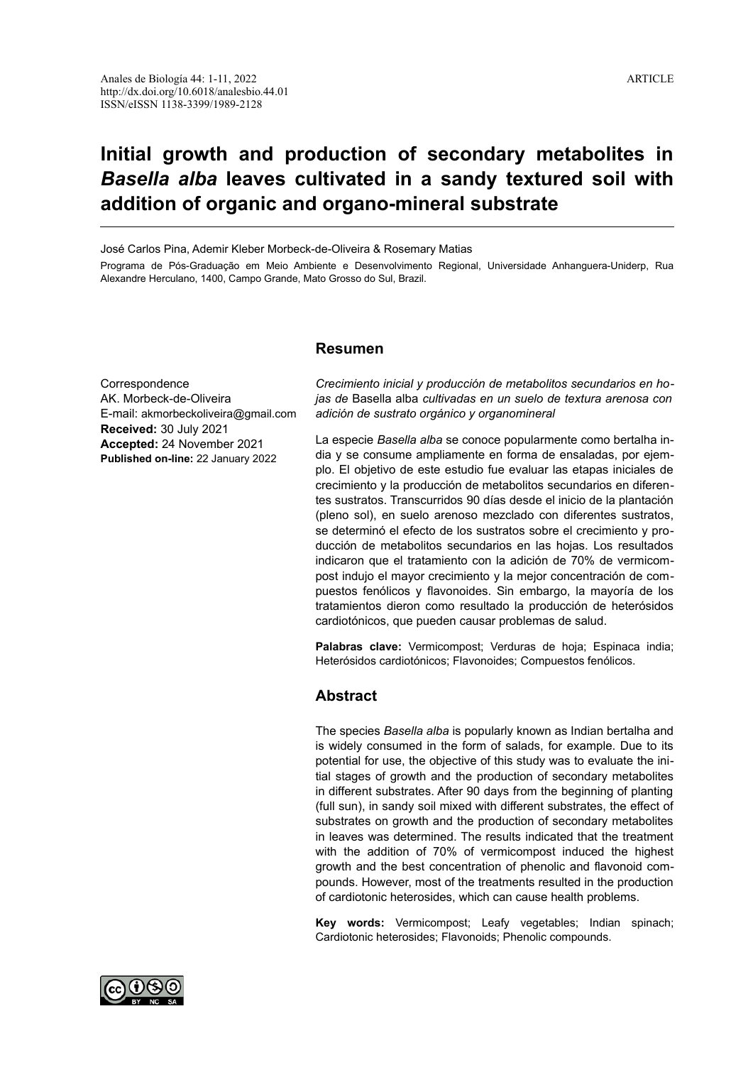# **Initial growth and production of secondary metabolites in** *Basella alba* **leaves cultivated in a sandy textured soil with addition of organic and organo-mineral substrate**

José Carlos Pina, Ademir Kleber Morbeck-de-Oliveira & Rosemary Matias

Programa de Pós-Graduação em Meio Ambiente e Desenvolvimento Regional, Universidade Anhanguera-Uniderp, Rua Alexandre Herculano, 1400, Campo Grande, Mato Grosso do Sul, Brazil.

## **Resumen**

**Correspondence** AK. Morbeck-de-Oliveira E-mail: akmorbeckoliveira@gmail.com **Received:** 30 July 2021 **Accepted:** 24 November 2021 **Published on-line:** 22 January 2022

*Crecimiento inicial y producción de metabolitos secundarios en hojas de* Basella alba *cultivadas en un suelo de textura arenosa con adición de sustrato orgánico y organomineral*

La especie *Basella alba* se conoce popularmente como bertalha india y se consume ampliamente en forma de ensaladas, por ejemplo. El objetivo de este estudio fue evaluar las etapas iniciales de crecimiento y la producción de metabolitos secundarios en diferentes sustratos. Transcurridos 90 días desde el inicio de la plantación (pleno sol), en suelo arenoso mezclado con diferentes sustratos, se determinó el efecto de los sustratos sobre el crecimiento y producción de metabolitos secundarios en las hojas. Los resultados indicaron que el tratamiento con la adición de 70% de vermicompost indujo el mayor crecimiento y la mejor concentración de compuestos fenólicos y flavonoides. Sin embargo, la mayoría de los tratamientos dieron como resultado la producción de heterósidos cardiotónicos, que pueden causar problemas de salud.

**Palabras clave:** Vermicompost; Verduras de hoja; Espinaca india; Heterósidos cardiotónicos; Flavonoides; Compuestos fenólicos.

# **Abstract**

The species *Basella alba* is popularly known as Indian bertalha and is widely consumed in the form of salads, for example. Due to its potential for use, the objective of this study was to evaluate the initial stages of growth and the production of secondary metabolites in different substrates. After 90 days from the beginning of planting (full sun), in sandy soil mixed with different substrates, the effect of substrates on growth and the production of secondary metabolites in leaves was determined. The results indicated that the treatment with the addition of 70% of vermicompost induced the highest growth and the best concentration of phenolic and flavonoid compounds. However, most of the treatments resulted in the production of cardiotonic heterosides, which can cause health problems.

**Key words:** Vermicompost; Leafy vegetables; Indian spinach; Cardiotonic heterosides; Flavonoids; Phenolic compounds.

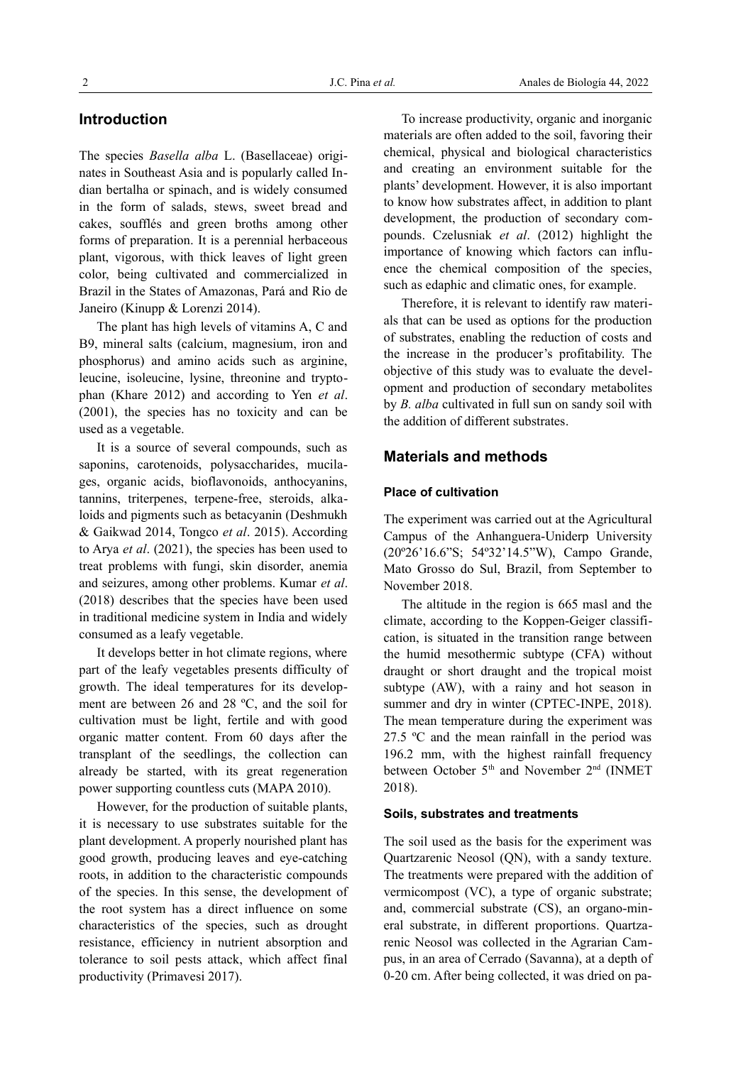# **Introduction**

The species *Basella alba* L. (Basellaceae) originates in Southeast Asia and is popularly called Indian bertalha or spinach, and is widely consumed in the form of salads, stews, sweet bread and cakes, soufflés and green broths among other forms of preparation. It is a perennial herbaceous plant, vigorous, with thick leaves of light green color, being cultivated and commercialized in Brazil in the States of Amazonas, Pará and Rio de Janeiro (Kinupp & Lorenzi 2014).

The plant has high levels of vitamins A, C and B9, mineral salts (calcium, magnesium, iron and phosphorus) and amino acids such as arginine, leucine, isoleucine, lysine, threonine and tryptophan (Khare 2012) and according to Yen *et al*. (2001), the species has no toxicity and can be used as a vegetable.

It is a source of several compounds, such as saponins, carotenoids, polysaccharides, mucilages, organic acids, bioflavonoids, anthocyanins, tannins, triterpenes, terpene-free, steroids, alkaloids and pigments such as betacyanin (Deshmukh & Gaikwad 2014, Tongco *et al*. 2015). According to Arya *et al*. (2021), the species has been used to treat problems with fungi, skin disorder, anemia and seizures, among other problems. Kumar *et al*. (2018) describes that the species have been used in traditional medicine system in India and widely consumed as a leafy vegetable.

It develops better in hot climate regions, where part of the leafy vegetables presents difficulty of growth. The ideal temperatures for its development are between 26 and 28 ºC, and the soil for cultivation must be light, fertile and with good organic matter content. From 60 days after the transplant of the seedlings, the collection can already be started, with its great regeneration power supporting countless cuts (MAPA 2010).

However, for the production of suitable plants, it is necessary to use substrates suitable for the plant development. A properly nourished plant has good growth, producing leaves and eye-catching roots, in addition to the characteristic compounds of the species. In this sense, the development of the root system has a direct influence on some characteristics of the species, such as drought resistance, efficiency in nutrient absorption and tolerance to soil pests attack, which affect final productivity (Primavesi 2017).

To increase productivity, organic and inorganic materials are often added to the soil, favoring their chemical, physical and biological characteristics and creating an environment suitable for the plants' development. However, it is also important to know how substrates affect, in addition to plant development, the production of secondary compounds. Czelusniak *et al*. (2012) highlight the importance of knowing which factors can influence the chemical composition of the species, such as edaphic and climatic ones, for example.

Therefore, it is relevant to identify raw materials that can be used as options for the production of substrates, enabling the reduction of costs and the increase in the producer's profitability. The objective of this study was to evaluate the development and production of secondary metabolites by *B. alba* cultivated in full sun on sandy soil with the addition of different substrates.

## **Materials and methods**

## **Place of cultivation**

The experiment was carried out at the Agricultural Campus of the Anhanguera-Uniderp University (20º26'16.6"S; 54º32'14.5"W), Campo Grande, Mato Grosso do Sul, Brazil, from September to November 2018.

The altitude in the region is 665 masl and the climate, according to the Koppen-Geiger classification, is situated in the transition range between the humid mesothermic subtype (CFA) without draught or short draught and the tropical moist subtype (AW), with a rainy and hot season in summer and dry in winter (CPTEC-INPE, 2018). The mean temperature during the experiment was 27.5 ºC and the mean rainfall in the period was 196.2 mm, with the highest rainfall frequency between October 5<sup>th</sup> and November 2<sup>nd</sup> (INMET 2018).

## **Soils, substrates and treatments**

The soil used as the basis for the experiment was Quartzarenic Neosol (QN), with a sandy texture. The treatments were prepared with the addition of vermicompost (VC), a type of organic substrate; and, commercial substrate (CS), an organo-mineral substrate, in different proportions. Quartzarenic Neosol was collected in the Agrarian Campus, in an area of Cerrado (Savanna), at a depth of 0-20 cm. After being collected, it was dried on pa-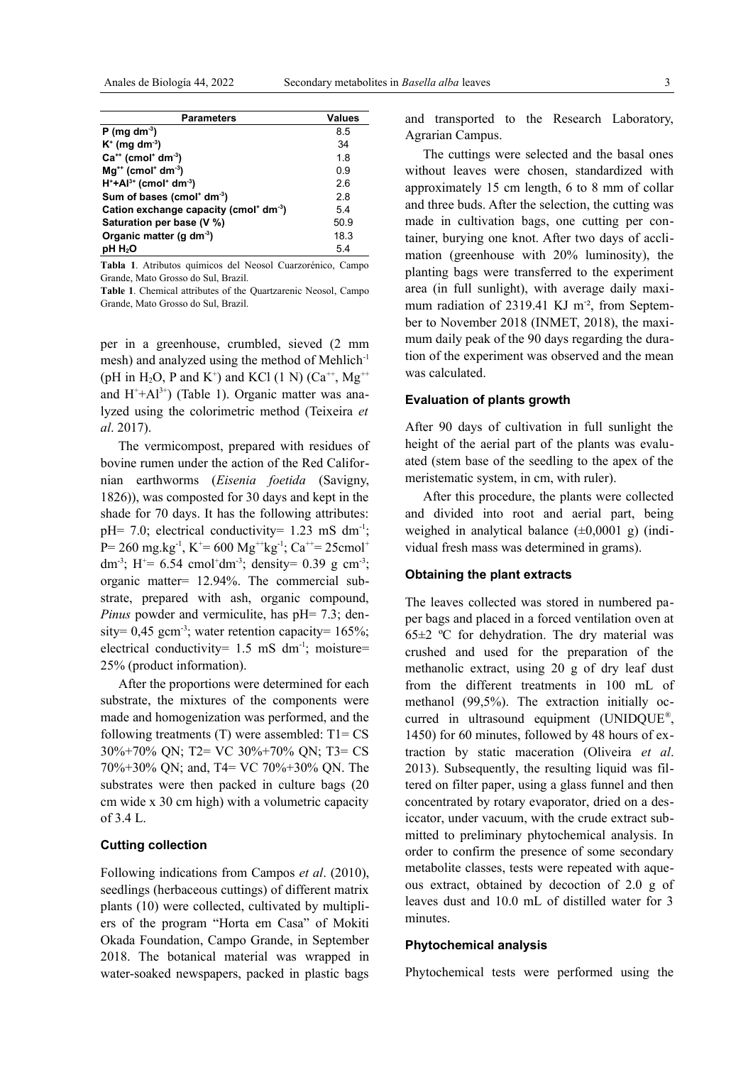| <b>Parameters</b>                                              | <b>Values</b> |
|----------------------------------------------------------------|---------------|
| $P$ (mg dm <sup>-3</sup> )                                     | 85            |
| $K^+$ (mg dm <sup>-3</sup> )                                   | 34            |
| $Ca^{++}$ (cmol <sup>+</sup> dm <sup>-3</sup> )                | 1.8           |
| $Mg^{+}$ (cmol <sup>+</sup> dm <sup>-3</sup> )                 | ი 9           |
| $H^+ + Al^{3+}$ (cmol <sup>+</sup> dm <sup>-3</sup> )          | 26            |
| Sum of bases (cmol <sup>+</sup> dm <sup>-3</sup> )             | 2.8           |
| Cation exchange capacity (cmol <sup>+</sup> dm <sup>-3</sup> ) | 54            |
| Saturation per base (V %)                                      | 50.9          |
| Organic matter (g dm <sup>-3</sup> )                           | 18.3          |
| $pH H_2O$                                                      | 5.4           |

**Tabla 1**. Atributos químicos del Neosol Cuarzorénico, Campo Grande, Mato Grosso do Sul, Brazil.

**Table 1**. Chemical attributes of the Quartzarenic Neosol, Campo Grande, Mato Grosso do Sul, Brazil.

per in a greenhouse, crumbled, sieved (2 mm mesh) and analyzed using the method of Mehlich<sup>-1</sup> (pH in H<sub>2</sub>O, P and K<sup>+</sup>) and KCl (1 N) (Ca<sup>++</sup>, Mg<sup>++</sup> and  $H^+ + Al^{3+}$ ) (Table 1). Organic matter was analyzed using the colorimetric method (Teixeira *et al*. 2017).

The vermicompost, prepared with residues of bovine rumen under the action of the Red Californian earthworms (*Eisenia foetida* (Savigny, 1826)), was composted for 30 days and kept in the shade for 70 days. It has the following attributes:  $pH= 7.0$ ; electrical conductivity = 1.23 mS dm<sup>-1</sup>; P= 260 mg.kg<sup>-1</sup>, K<sup>+</sup>= 600 Mg<sup>++</sup>kg<sup>-1</sup>; Ca<sup>++</sup>= 25cmol<sup>+</sup> dm<sup>-3</sup>; H<sup>+</sup>= 6.54 cmol<sup>+</sup>dm<sup>-3</sup>; density= 0.39 g cm<sup>-3</sup>; organic matter= 12.94%. The commercial substrate, prepared with ash, organic compound, *Pinus* powder and vermiculite, has pH= 7.3; density=  $0.45$  gcm<sup>-3</sup>; water retention capacity=  $165\%$ ; electrical conductivity=  $1.5$  mS dm<sup>-1</sup>; moisture= 25% (product information).

After the proportions were determined for each substrate, the mixtures of the components were made and homogenization was performed, and the following treatments  $(T)$  were assembled:  $T1 = CS$ 30%+70% QN; T2= VC 30%+70% QN; T3= CS 70%+30% QN; and, T4= VC 70%+30% QN. The substrates were then packed in culture bags (20 cm wide x 30 cm high) with a volumetric capacity of 3.4 L.

## **Cutting collection**

Following indications from Campos *et al*. (2010), seedlings (herbaceous cuttings) of different matrix plants (10) were collected, cultivated by multipliers of the program "Horta em Casa" of Mokiti Okada Foundation, Campo Grande, in September 2018. The botanical material was wrapped in water-soaked newspapers, packed in plastic bags and transported to the Research Laboratory, Agrarian Campus.

The cuttings were selected and the basal ones without leaves were chosen, standardized with approximately 15 cm length, 6 to 8 mm of collar and three buds. After the selection, the cutting was made in cultivation bags, one cutting per container, burying one knot. After two days of acclimation (greenhouse with 20% luminosity), the planting bags were transferred to the experiment area (in full sunlight), with average daily maximum radiation of 2319.41 KJ m<sup>-2</sup>, from September to November 2018 (INMET, 2018), the maximum daily peak of the 90 days regarding the duration of the experiment was observed and the mean was calculated.

#### **Evaluation of plants growth**

After 90 days of cultivation in full sunlight the height of the aerial part of the plants was evaluated (stem base of the seedling to the apex of the meristematic system, in cm, with ruler).

After this procedure, the plants were collected and divided into root and aerial part, being weighed in analytical balance  $(\pm 0,0001 \text{ g})$  (individual fresh mass was determined in grams).

## **Obtaining the plant extracts**

The leaves collected was stored in numbered paper bags and placed in a forced ventilation oven at  $65\pm2$  °C for dehydration. The dry material was crushed and used for the preparation of the methanolic extract, using 20 g of dry leaf dust from the different treatments in 100 mL of methanol (99,5%). The extraction initially occurred in ultrasound equipment (UNIDQUE® , 1450) for 60 minutes, followed by 48 hours of extraction by static maceration (Oliveira *et al*. 2013). Subsequently, the resulting liquid was filtered on filter paper, using a glass funnel and then concentrated by rotary evaporator, dried on a desiccator, under vacuum, with the crude extract submitted to preliminary phytochemical analysis. In order to confirm the presence of some secondary metabolite classes, tests were repeated with aqueous extract, obtained by decoction of 2.0 g of leaves dust and 10.0 mL of distilled water for 3 minutes.

#### **Phytochemical analysis**

Phytochemical tests were performed using the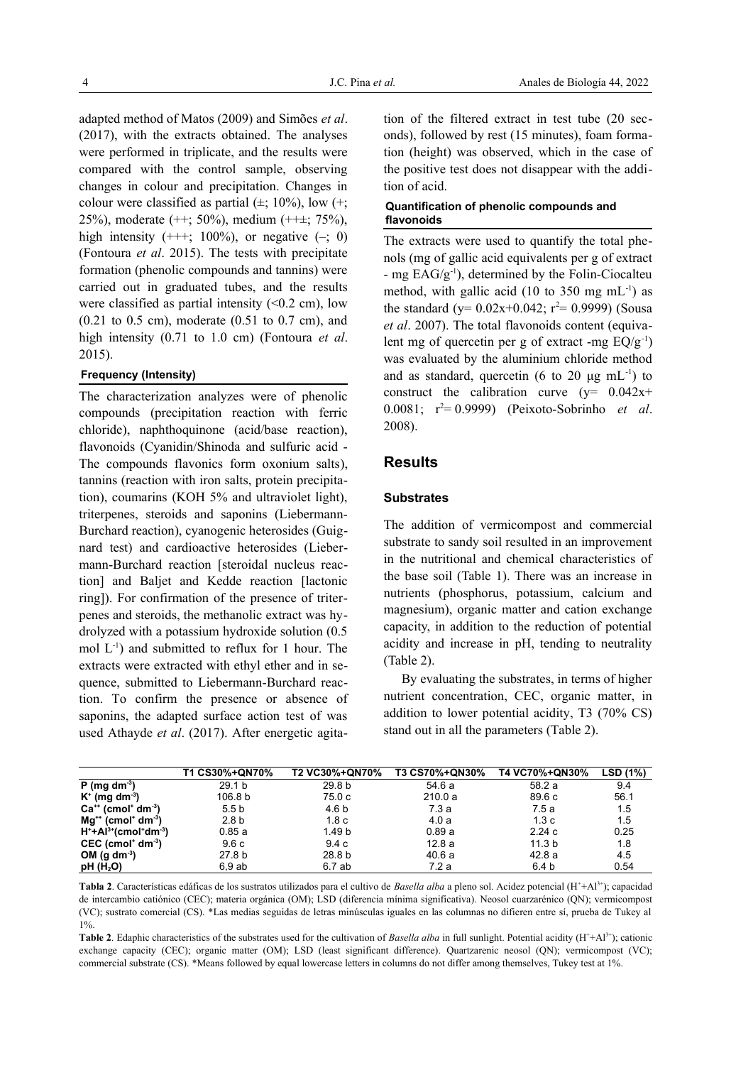adapted method of Matos (2009) and Simões *et al*. (2017), with the extracts obtained. The analyses were performed in triplicate, and the results were compared with the control sample, observing changes in colour and precipitation. Changes in colour were classified as partial  $(\pm; 10\%)$ , low  $(\pm;$ 25%), moderate (++; 50%), medium (++±; 75%), high intensity  $(++)$ ; 100%), or negative  $(-; 0)$ (Fontoura *et al*. 2015). The tests with precipitate formation (phenolic compounds and tannins) were carried out in graduated tubes, and the results were classified as partial intensity (<0.2 cm), low (0.21 to 0.5 cm), moderate (0.51 to 0.7 cm), and high intensity (0.71 to 1.0 cm) (Fontoura *et al*. 2015).

#### **Frequency (Intensity)**

The characterization analyzes were of phenolic compounds (precipitation reaction with ferric chloride), naphthoquinone (acid/base reaction), flavonoids (Cyanidin/Shinoda and sulfuric acid - The compounds flavonics form oxonium salts), tannins (reaction with iron salts, protein precipitation), coumarins (KOH 5% and ultraviolet light), triterpenes, steroids and saponins (Liebermann-Burchard reaction), cyanogenic heterosides (Guignard test) and cardioactive heterosides (Liebermann-Burchard reaction [steroidal nucleus reaction] and Baljet and Kedde reaction [lactonic ring]). For confirmation of the presence of triterpenes and steroids, the methanolic extract was hydrolyzed with a potassium hydroxide solution (0.5 mol  $L^{-1}$ ) and submitted to reflux for 1 hour. The extracts were extracted with ethyl ether and in sequence, submitted to Liebermann-Burchard reaction. To confirm the presence or absence of saponins, the adapted surface action test of was used Athayde *et al*. (2017). After energetic agitation of the filtered extract in test tube (20 seconds), followed by rest (15 minutes), foam formation (height) was observed, which in the case of the positive test does not disappear with the addition of acid.

## **Quantification of phenolic compounds and flavonoids**

The extracts were used to quantify the total phenols (mg of gallic acid equivalents per g of extract - mg  $EAG/g^{-1}$ ), determined by the Folin-Ciocalteu method, with gallic acid (10 to 350 mg  $mL^{-1}$ ) as the standard (y=  $0.02x+0.042$ ; r<sup>2</sup>= 0.9999) (Sousa *et al*. 2007). The total flavonoids content (equivalent mg of quercetin per g of extract -mg  $EQ/g^{-1}$ ) was evaluated by the aluminium chloride method and as standard, quercetin (6 to 20  $\mu$ g mL<sup>-1</sup>) to construct the calibration curve  $(y= 0.042x+)$ 0.0081; r<sup>2</sup>= 0.9999) (Peixoto-Sobrinho *et al*. 2008).

## **Results**

#### **Substrates**

The addition of vermicompost and commercial substrate to sandy soil resulted in an improvement in the nutritional and chemical characteristics of the base soil (Table 1). There was an increase in nutrients (phosphorus, potassium, calcium and magnesium), organic matter and cation exchange capacity, in addition to the reduction of potential acidity and increase in pH, tending to neutrality (Table 2).

By evaluating the substrates, in terms of higher nutrient concentration, CEC, organic matter, in addition to lower potential acidity, T3 (70% CS) stand out in all the parameters (Table 2).

|                                                 | T1 CS30%+QN70%    | <b>T2 VC30%+QN70%</b> | <b>T3 CS70%+QN30%</b> | <b>T4 VC70%+QN30%</b> | LSD (1%) |
|-------------------------------------------------|-------------------|-----------------------|-----------------------|-----------------------|----------|
| $P$ (mg dm <sup>-3</sup> )                      | 29.1 b            | 29.8 b                | 54.6 a                | 58.2 a                | 9.4      |
| $K^+$ (mg dm <sup>-3</sup> )                    | 106.8 b           | 75.0 c                | 210.0a                | 89.6 c                | 56.1     |
| $Ca^{++}$ (cmol <sup>+</sup> dm <sup>-3</sup> ) | 5.5 b             | 4.6 b                 | 7.3 a                 | 7.5 a                 | 1.5      |
| $Mq^{+}$ (cmol <sup>+</sup> dm <sup>-3</sup> )  | 2.8 <sub>b</sub>  | 1.8 c                 | 4.0a                  | 1.3c                  | 1.5      |
| $H^+ + Al^{3+}$ (cmol $d$ m <sup>-3</sup> )     | 0.85 a            | 1.49 b                | 0.89a                 | 2.24c                 | 0.25     |
| $CEC$ (cmol <sup>+</sup> dm <sup>-3</sup> )     | 9.6 c             | 9.4 c                 | 12.8 a                | 11.3 <sub>b</sub>     | 1.8      |
| OM (g dm <sup>-3</sup> )                        | 27.8 <sub>b</sub> | 28.8 b                | 40.6 a                | 42.8 a                | 4.5      |
| pH(H <sub>2</sub> O)                            | 6.9ab             | 6.7 ab                | 7.2a                  | 6.4 b                 | 0.54     |

**Tabla 2**. Características edáficas de los sustratos utilizados para el cultivo de *Basella alba* a pleno sol. Acidez potencial (H<sup>+</sup>+Al3+); capacidad de intercambio catiónico (CEC); materia orgánica (OM); LSD (diferencia mínima significativa). Neosol cuarzarénico (QN); vermicompost (VC); sustrato comercial (CS). \*Las medias seguidas de letras minúsculas iguales en las columnas no difieren entre sí, prueba de Tukey al 1%.

**Table 2**. Edaphic characteristics of the substrates used for the cultivation of *Basella alba* in full sunlight. Potential acidity  $(H^+ + A^{13+})$ ; cationic exchange capacity (CEC); organic matter (OM); LSD (least significant difference). Quartzarenic neosol (QN); vermicompost (VC); commercial substrate (CS). \*Means followed by equal lowercase letters in columns do not differ among themselves, Tukey test at 1%.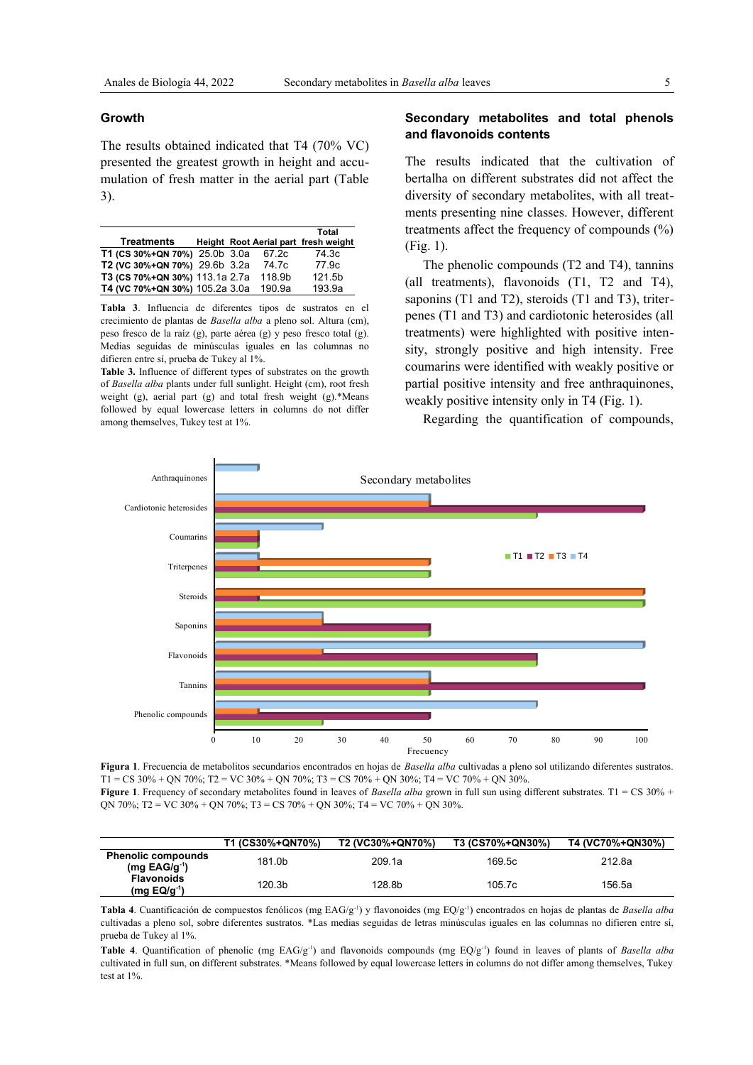#### **Growth**

The results obtained indicated that T4 (70% VC) presented the greatest growth in height and accumulation of fresh matter in the aerial part (Table 3).

|                                |  |        | Total                                |
|--------------------------------|--|--------|--------------------------------------|
| <b>Treatments</b>              |  |        | Height Root Aerial part fresh weight |
| T1 (CS 30%+QN 70%) 25.0b 3.0a  |  | 67.2c  | 74 3c                                |
| T2 (VC 30%+QN 70%) 29.6b 3.2a  |  | 74.7c  | 77.9c                                |
| T3 (CS 70%+QN 30%) 113.1a 2.7a |  | 118.9b | 121.5b                               |
| T4 (VC 70%+QN 30%) 105.2a 3.0a |  | 190.9a | 193.9a                               |

**Tabla 3**. Influencia de diferentes tipos de sustratos en el crecimiento de plantas de *Basella alba* a pleno sol. Altura (cm), peso fresco de la raíz (g), parte aérea (g) y peso fresco total (g). Medias seguidas de minúsculas iguales en las columnas no difieren entre sí, prueba de Tukey al 1%.

**Table 3.** Influence of different types of substrates on the growth of *Basella alba* plants under full sunlight. Height (cm), root fresh weight (g), aerial part (g) and total fresh weight (g).\*Means followed by equal lowercase letters in columns do not differ among themselves, Tukey test at 1%.

## **Secondary metabolites and total phenols and flavonoids contents**

The results indicated that the cultivation of bertalha on different substrates did not affect the diversity of secondary metabolites, with all treatments presenting nine classes. However, different treatments affect the frequency of compounds (%) (Fig. 1).

The phenolic compounds (T2 and T4), tannins (all treatments), flavonoids (T1, T2 and T4), saponins (T1 and T2), steroids (T1 and T3), triterpenes (T1 and T3) and cardiotonic heterosides (all treatments) were highlighted with positive intensity, strongly positive and high intensity. Free coumarins were identified with weakly positive or partial positive intensity and free anthraquinones, weakly positive intensity only in T4 (Fig. 1).

Regarding the quantification of compounds,



**Figura 1**. Frecuencia de metabolitos secundarios encontrados en hojas de *Basella alba* cultivadas a pleno sol utilizando diferentes sustratos. T1 = CS 30% + QN 70%; T2 = VC 30% + QN 70%; T3 = CS 70% + QN 30%; T4 = VC 70% + QN 30%. **Figure 1**. Frequency of secondary metabolites found in leaves of *Basella alba* grown in full sun using different substrates. T1 = CS 30% + QN 70%; T2 = VC 30% + QN 70%; T3 = CS 70% + QN 30%; T4 = VC 70% + QN 30%.

|                                                | T1 (CS30%+QN70%) | T2 (VC30%+QN70%) | T3 (CS70%+QN30%) | T4 (VC70%+QN30%) |
|------------------------------------------------|------------------|------------------|------------------|------------------|
| <b>Phenolic compounds</b><br>$(mq EAG/q^{-1})$ | 181.0b           | 209.1a           | 169.5c           | 212.8a           |
| <b>Flavonoids</b><br>$(mg EQ/g^{-1})$          | 120.3b           | 128.8b           | 105.7c           | 156.5a           |

**Tabla 4**. Cuantificación de compuestos fenólicos (mg EAG/g-1) y flavonoides (mg EQ/g-1) encontrados en hojas de plantas de *Basella alba* cultivadas a pleno sol, sobre diferentes sustratos. \*Las medias seguidas de letras minúsculas iguales en las columnas no difieren entre sí, prueba de Tukey al 1%.

Table 4. Quantification of phenolic (mg EAG/g<sup>-1</sup>) and flavonoids compounds (mg EQ/g<sup>-1</sup>) found in leaves of plants of *Basella alba* cultivated in full sun, on different substrates. \*Means followed by equal lowercase letters in columns do not differ among themselves, Tukey test at 1%.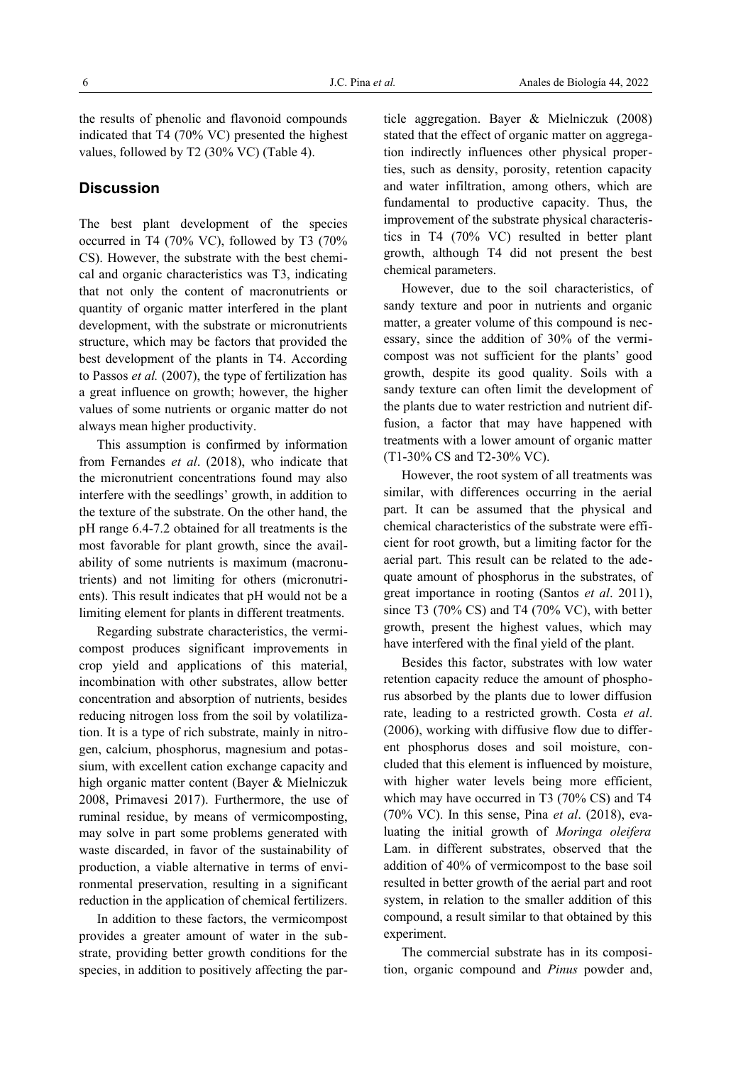the results of phenolic and flavonoid compounds indicated that T4 (70% VC) presented the highest values, followed by T2 (30% VC) (Table 4).

# **Discussion**

The best plant development of the species occurred in T4 (70% VC), followed by T3 (70% CS). However, the substrate with the best chemical and organic characteristics was T3, indicating that not only the content of macronutrients or quantity of organic matter interfered in the plant development, with the substrate or micronutrients structure, which may be factors that provided the best development of the plants in T4. According to Passos *et al.* (2007), the type of fertilization has a great influence on growth; however, the higher values of some nutrients or organic matter do not always mean higher productivity.

This assumption is confirmed by information from Fernandes *et al*. (2018), who indicate that the micronutrient concentrations found may also interfere with the seedlings' growth, in addition to the texture of the substrate. On the other hand, the pH range 6.4-7.2 obtained for all treatments is the most favorable for plant growth, since the availability of some nutrients is maximum (macronutrients) and not limiting for others (micronutrients). This result indicates that pH would not be a limiting element for plants in different treatments.

Regarding substrate characteristics, the vermicompost produces significant improvements in crop yield and applications of this material, incombination with other substrates, allow better concentration and absorption of nutrients, besides reducing nitrogen loss from the soil by volatilization. It is a type of rich substrate, mainly in nitrogen, calcium, phosphorus, magnesium and potassium, with excellent cation exchange capacity and high organic matter content (Bayer & Mielniczuk 2008, Primavesi 2017). Furthermore, the use of ruminal residue, by means of vermicomposting, may solve in part some problems generated with waste discarded, in favor of the sustainability of production, a viable alternative in terms of environmental preservation, resulting in a significant reduction in the application of chemical fertilizers.

In addition to these factors, the vermicompost provides a greater amount of water in the substrate, providing better growth conditions for the species, in addition to positively affecting the particle aggregation. Bayer & Mielniczuk (2008) stated that the effect of organic matter on aggregation indirectly influences other physical properties, such as density, porosity, retention capacity and water infiltration, among others, which are fundamental to productive capacity. Thus, the improvement of the substrate physical characteristics in T4 (70% VC) resulted in better plant growth, although T4 did not present the best chemical parameters.

However, due to the soil characteristics, of sandy texture and poor in nutrients and organic matter, a greater volume of this compound is necessary, since the addition of 30% of the vermicompost was not sufficient for the plants' good growth, despite its good quality. Soils with a sandy texture can often limit the development of the plants due to water restriction and nutrient diffusion, a factor that may have happened with treatments with a lower amount of organic matter (T1-30% CS and T2-30% VC).

However, the root system of all treatments was similar, with differences occurring in the aerial part. It can be assumed that the physical and chemical characteristics of the substrate were efficient for root growth, but a limiting factor for the aerial part. This result can be related to the adequate amount of phosphorus in the substrates, of great importance in rooting (Santos *et al*. 2011), since T3 (70% CS) and T4 (70% VC), with better growth, present the highest values, which may have interfered with the final yield of the plant.

Besides this factor, substrates with low water retention capacity reduce the amount of phosphorus absorbed by the plants due to lower diffusion rate, leading to a restricted growth. Costa *et al*. (2006), working with diffusive flow due to different phosphorus doses and soil moisture, concluded that this element is influenced by moisture, with higher water levels being more efficient, which may have occurred in T3 (70% CS) and T4 (70% VC). In this sense, Pina *et al*. (2018), evaluating the initial growth of *Moringa oleifera* Lam. in different substrates, observed that the addition of 40% of vermicompost to the base soil resulted in better growth of the aerial part and root system, in relation to the smaller addition of this compound, a result similar to that obtained by this experiment.

The commercial substrate has in its composition, organic compound and *Pinus* powder and,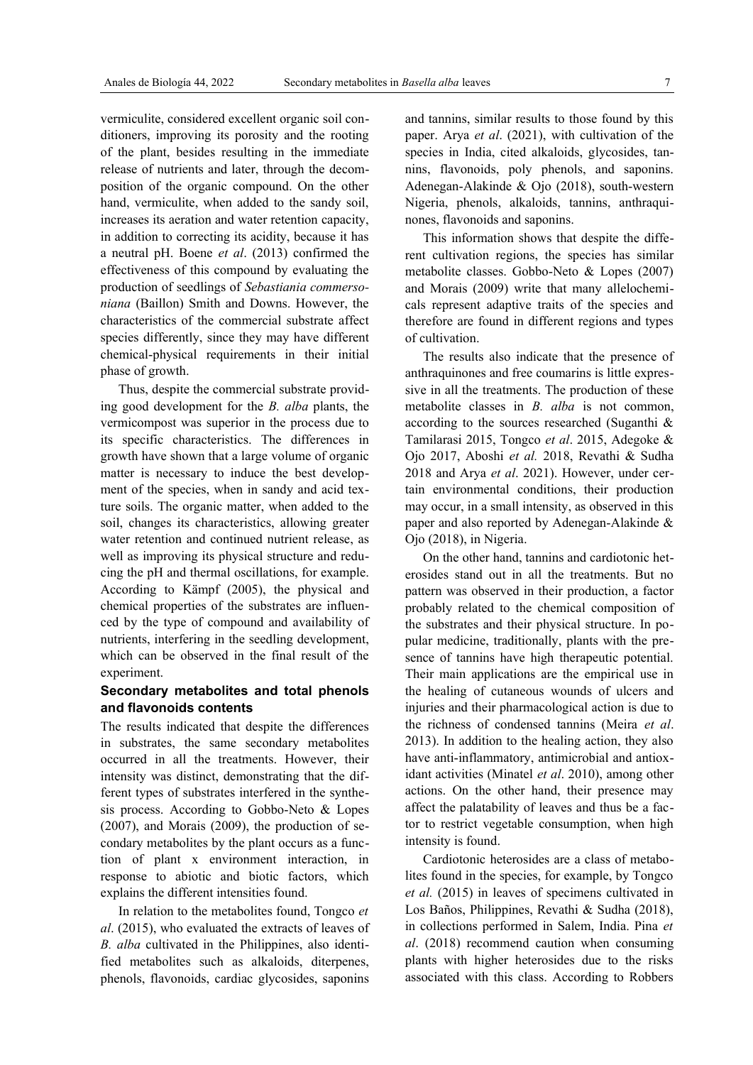vermiculite, considered excellent organic soil conditioners, improving its porosity and the rooting of the plant, besides resulting in the immediate release of nutrients and later, through the decomposition of the organic compound. On the other hand, vermiculite, when added to the sandy soil, increases its aeration and water retention capacity, in addition to correcting its acidity, because it has a neutral pH. Boene *et al*. (2013) confirmed the effectiveness of this compound by evaluating the production of seedlings of *Sebastiania commersoniana* (Baillon) Smith and Downs. However, the characteristics of the commercial substrate affect species differently, since they may have different chemical-physical requirements in their initial phase of growth.

Thus, despite the commercial substrate providing good development for the *B. alba* plants, the vermicompost was superior in the process due to its specific characteristics. The differences in growth have shown that a large volume of organic matter is necessary to induce the best development of the species, when in sandy and acid texture soils. The organic matter, when added to the soil, changes its characteristics, allowing greater water retention and continued nutrient release, as well as improving its physical structure and reducing the pH and thermal oscillations, for example. According to Kämpf (2005), the physical and chemical properties of the substrates are influenced by the type of compound and availability of nutrients, interfering in the seedling development, which can be observed in the final result of the experiment.

# **Secondary metabolites and total phenols and flavonoids contents**

The results indicated that despite the differences in substrates, the same secondary metabolites occurred in all the treatments. However, their intensity was distinct, demonstrating that the different types of substrates interfered in the synthesis process. According to Gobbo-Neto & Lopes (2007), and Morais (2009), the production of secondary metabolites by the plant occurs as a function of plant x environment interaction, in response to abiotic and biotic factors, which explains the different intensities found.

In relation to the metabolites found, Tongco *et al*. (2015), who evaluated the extracts of leaves of *B. alba* cultivated in the Philippines, also identified metabolites such as alkaloids, diterpenes, phenols, flavonoids, cardiac glycosides, saponins

and tannins, similar results to those found by this paper. Arya *et al*. (2021), with cultivation of the species in India, cited alkaloids, glycosides, tannins, flavonoids, poly phenols, and saponins. Adenegan-Alakinde & Ojo (2018), south-western Nigeria, phenols, alkaloids, tannins, anthraquinones, flavonoids and saponins.

This information shows that despite the different cultivation regions, the species has similar metabolite classes. Gobbo-Neto & Lopes (2007) and Morais (2009) write that many allelochemicals represent adaptive traits of the species and therefore are found in different regions and types of cultivation.

The results also indicate that the presence of anthraquinones and free coumarins is little expressive in all the treatments. The production of these metabolite classes in *B. alba* is not common, according to the sources researched (Suganthi & Tamilarasi 2015, Tongco *et al*. 2015, Adegoke & Ojo 2017, Aboshi *et al.* 2018, Revathi & Sudha 2018 and Arya *et al*. 2021). However, under certain environmental conditions, their production may occur, in a small intensity, as observed in this paper and also reported by Adenegan-Alakinde & Ojo (2018), in Nigeria.

On the other hand, tannins and cardiotonic heterosides stand out in all the treatments. But no pattern was observed in their production, a factor probably related to the chemical composition of the substrates and their physical structure. In popular medicine, traditionally, plants with the presence of tannins have high therapeutic potential. Their main applications are the empirical use in the healing of cutaneous wounds of ulcers and injuries and their pharmacological action is due to the richness of condensed tannins (Meira *et al*. 2013). In addition to the healing action, they also have anti-inflammatory, antimicrobial and antioxidant activities (Minatel *et al*. 2010), among other actions. On the other hand, their presence may affect the palatability of leaves and thus be a factor to restrict vegetable consumption, when high intensity is found.

Cardiotonic heterosides are a class of metabolites found in the species, for example, by Tongco *et al.* (2015) in leaves of specimens cultivated in Los Baños, Philippines, Revathi & Sudha (2018), in collections performed in Salem, India. Pina *et al*. (2018) recommend caution when consuming plants with higher heterosides due to the risks associated with this class. According to Robbers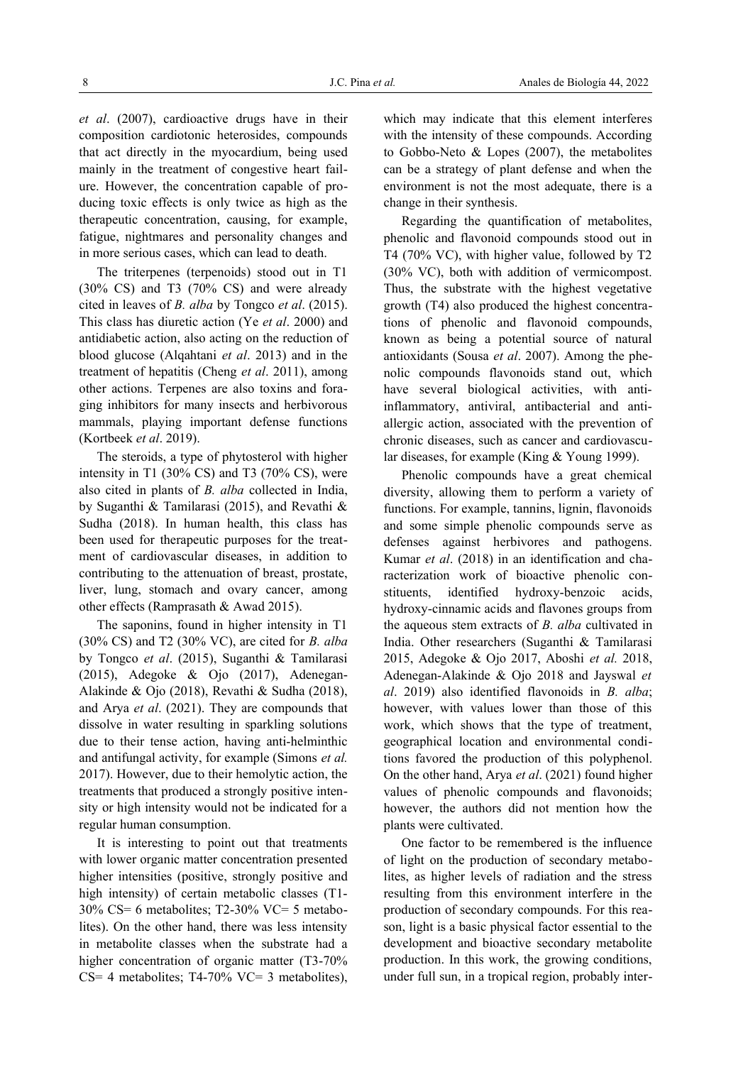*et al*. (2007), cardioactive drugs have in their composition cardiotonic heterosides, compounds that act directly in the myocardium, being used mainly in the treatment of congestive heart failure. However, the concentration capable of producing toxic effects is only twice as high as the therapeutic concentration, causing, for example, fatigue, nightmares and personality changes and in more serious cases, which can lead to death.

The triterpenes (terpenoids) stood out in T1 (30% CS) and T3 (70% CS) and were already cited in leaves of *B. alba* by Tongco *et al*. (2015). This class has diuretic action (Ye *et al*. 2000) and antidiabetic action, also acting on the reduction of blood glucose (Alqahtani *et al*. 2013) and in the treatment of hepatitis (Cheng *et al*. 2011), among other actions. Terpenes are also toxins and foraging inhibitors for many insects and herbivorous mammals, playing important defense functions (Kortbeek *et al*. 2019).

The steroids, a type of phytosterol with higher intensity in T1 (30% CS) and T3 (70% CS), were also cited in plants of *B. alba* collected in India, by Suganthi & Tamilarasi (2015), and Revathi & Sudha (2018). In human health, this class has been used for therapeutic purposes for the treatment of cardiovascular diseases, in addition to contributing to the attenuation of breast, prostate, liver, lung, stomach and ovary cancer, among other effects (Ramprasath & Awad 2015).

The saponins, found in higher intensity in T1 (30% CS) and T2 (30% VC), are cited for *B. alba* by Tongco *et al*. (2015), Suganthi & Tamilarasi (2015), Adegoke & Ojo (2017), Adenegan-Alakinde & Ojo (2018), Revathi & Sudha (2018), and Arya *et al*. (2021). They are compounds that dissolve in water resulting in sparkling solutions due to their tense action, having anti-helminthic and antifungal activity, for example (Simons *et al.* 2017). However, due to their hemolytic action, the treatments that produced a strongly positive intensity or high intensity would not be indicated for a regular human consumption.

It is interesting to point out that treatments with lower organic matter concentration presented higher intensities (positive, strongly positive and high intensity) of certain metabolic classes (T1-30% CS= 6 metabolites; T2-30% VC= 5 metabolites). On the other hand, there was less intensity in metabolite classes when the substrate had a higher concentration of organic matter (T3-70% CS= 4 metabolites; T4-70% VC= 3 metabolites), which may indicate that this element interferes with the intensity of these compounds. According to Gobbo-Neto & Lopes (2007), the metabolites can be a strategy of plant defense and when the environment is not the most adequate, there is a change in their synthesis.

Regarding the quantification of metabolites, phenolic and flavonoid compounds stood out in T4 (70% VC), with higher value, followed by T2 (30% VC), both with addition of vermicompost. Thus, the substrate with the highest vegetative growth (T4) also produced the highest concentrations of phenolic and flavonoid compounds, known as being a potential source of natural antioxidants (Sousa *et al*. 2007). Among the phenolic compounds flavonoids stand out, which have several biological activities, with antiinflammatory, antiviral, antibacterial and antiallergic action, associated with the prevention of chronic diseases, such as cancer and cardiovascular diseases, for example (King & Young 1999).

Phenolic compounds have a great chemical diversity, allowing them to perform a variety of functions. For example, tannins, lignin, flavonoids and some simple phenolic compounds serve as defenses against herbivores and pathogens. Kumar *et al*. (2018) in an identification and characterization work of bioactive phenolic constituents, identified hydroxy-benzoic acids, hydroxy-cinnamic acids and flavones groups from the aqueous stem extracts of *B. alba* cultivated in India. Other researchers (Suganthi & Tamilarasi 2015, Adegoke & Ojo 2017, Aboshi *et al.* 2018, Adenegan-Alakinde & Ojo 2018 and Jayswal *et al*. 2019) also identified flavonoids in *B. alba*; however, with values lower than those of this work, which shows that the type of treatment, geographical location and environmental conditions favored the production of this polyphenol. On the other hand, Arya *et al*. (2021) found higher values of phenolic compounds and flavonoids; however, the authors did not mention how the plants were cultivated.

One factor to be remembered is the influence of light on the production of secondary metabolites, as higher levels of radiation and the stress resulting from this environment interfere in the production of secondary compounds. For this reason, light is a basic physical factor essential to the development and bioactive secondary metabolite production. In this work, the growing conditions, under full sun, in a tropical region, probably inter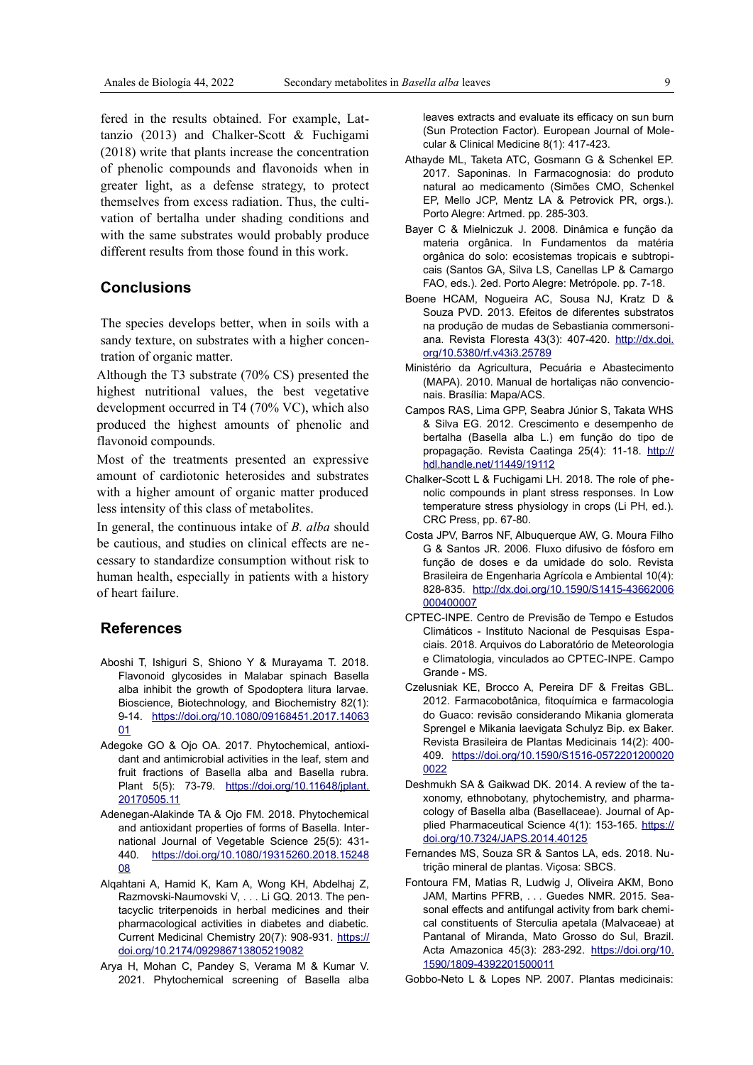fered in the results obtained. For example, Lattanzio (2013) and Chalker-Scott & Fuchigami (2018) write that plants increase the concentration of phenolic compounds and flavonoids when in greater light, as a defense strategy, to protect themselves from excess radiation. Thus, the cultivation of bertalha under shading conditions and with the same substrates would probably produce different results from those found in this work.

# **Conclusions**

The species develops better, when in soils with a sandy texture, on substrates with a higher concentration of organic matter.

Although the T3 substrate (70% CS) presented the highest nutritional values, the best vegetative development occurred in T4 (70% VC), which also produced the highest amounts of phenolic and flavonoid compounds.

Most of the treatments presented an expressive amount of cardiotonic heterosides and substrates with a higher amount of organic matter produced less intensity of this class of metabolites.

In general, the continuous intake of *B. alba* should be cautious, and studies on clinical effects are necessary to standardize consumption without risk to human health, especially in patients with a history of heart failure.

## **References**

- Aboshi T, Ishiguri S, Shiono Y & Murayama T. 2018. Flavonoid glycosides in Malabar spinach Basella alba inhibit the growth of Spodoptera litura larvae. Bioscience, Biotechnology, and Biochemistry 82(1): 9-14. [https://doi.org/10.1080/09168451.2017.14063](https://doi.org/10.1080/09168451.2017.1406301) [01](https://doi.org/10.1080/09168451.2017.1406301)
- Adegoke GO & Ojo OA. 2017. Phytochemical, antioxidant and antimicrobial activities in the leaf, stem and fruit fractions of Basella alba and Basella rubra. Plant 5(5): 73-79. [https://doi.org/10.11648/jplant.](https://doi.org/10.11648/jplant.20170505.11) [20170505.11](https://doi.org/10.11648/jplant.20170505.11)
- Adenegan-Alakinde TA & Ojo FM. 2018. Phytochemical and antioxidant properties of forms of Basella. International Journal of Vegetable Science 25(5): 431- 440. [https://doi.org/10.1080/19315260.2018.15248](https://doi.org/10.1080/19315260.2018.1524808) [08](https://doi.org/10.1080/19315260.2018.1524808)
- Alqahtani A, Hamid K, Kam A, Wong KH, Abdelhaj Z, Razmovski-Naumovski V, . . . Li GQ. 2013. The pentacyclic triterpenoids in herbal medicines and their pharmacological activities in diabetes and diabetic. Current Medicinal Chemistry 20(7): 908-931. [https://](https://doi.org/10.2174/092986713805219082) [doi.org/10.2174/092986713805219082](https://doi.org/10.2174/092986713805219082)
- Arya H, Mohan C, Pandey S, Verama M & Kumar V. 2021. Phytochemical screening of Basella alba

leaves extracts and evaluate its efficacy on sun burn (Sun Protection Factor). European Journal of Molecular & Clinical Medicine 8(1): 417-423.

- Athayde ML, Taketa ATC, Gosmann G & Schenkel EP. 2017. Saponinas. In Farmacognosia: do produto natural ao medicamento (Simões CMO, Schenkel EP, Mello JCP, Mentz LA & Petrovick PR, orgs.). Porto Alegre: Artmed. pp. 285-303.
- Bayer C & Mielniczuk J. 2008. Dinâmica e função da materia orgânica. In Fundamentos da matéria orgânica do solo: ecosistemas tropicais e subtropicais (Santos GA, Silva LS, Canellas LP & Camargo FAO, eds.). 2ed. Porto Alegre: Metrópole. pp. 7-18.
- Boene HCAM, Nogueira AC, Sousa NJ, Kratz D & Souza PVD. 2013. Efeitos de diferentes substratos na produção de mudas de Sebastiania commersoniana. Revista Floresta 43(3): 407-420. [http://dx.doi.](http://dx.doi.org/10.5380/rf.v43i3.25789) [org/10.5380/rf.v43i3.25789](http://dx.doi.org/10.5380/rf.v43i3.25789)
- Ministério da Agricultura, Pecuária e Abastecimento (MAPA). 2010. Manual de hortaliças não convencionais. Brasília: Mapa/ACS.
- Campos RAS, Lima GPP, Seabra Júnior S, Takata WHS & Silva EG. 2012. Crescimento e desempenho de bertalha (Basella alba L.) em função do tipo de propagação. Revista Caatinga 25(4): 11-18. [http://](http://hdl.handle.net/11449/19112) [hdl.handle.net/11449/19112](http://hdl.handle.net/11449/19112)
- Chalker-Scott L & Fuchigami LH. 2018. The role of phenolic compounds in plant stress responses. In Low temperature stress physiology in crops (Li PH, ed.). CRC Press, pp. 67-80.
- Costa JPV, Barros NF, Albuquerque AW, G. Moura Filho G & Santos JR. 2006. Fluxo difusivo de fósforo em função de doses e da umidade do solo. Revista Brasileira de Engenharia Agrícola e Ambiental 10(4): 828-835. [http://dx.doi.org/10.1590/S1415-43662006](http://dx.doi.org/10.1590/S1415-43662006000400007) [000400007](http://dx.doi.org/10.1590/S1415-43662006000400007)
- CPTEC-INPE. Centro de Previsão de Tempo e Estudos Climáticos - Instituto Nacional de Pesquisas Espaciais. 2018. Arquivos do Laboratório de Meteorologia e Climatologia, vinculados ao CPTEC-INPE. Campo Grande - MS.
- Czelusniak KE, Brocco A, Pereira DF & Freitas GBL. 2012. Farmacobotânica, fitoquímica e farmacologia do Guaco: revisão considerando Mikania glomerata Sprengel e Mikania laevigata Schulyz Bip. ex Baker. Revista Brasileira de Plantas Medicinais 14(2): 400- 409. [https://doi.org/10.1590/S1516-0572201200020](https://doi.org/10.1590/S1516-05722012000200022) [0022](https://doi.org/10.1590/S1516-05722012000200022)
- Deshmukh SA & Gaikwad DK. 2014. A review of the taxonomy, ethnobotany, phytochemistry, and pharmacology of Basella alba (Basellaceae). Journal of Applied Pharmaceutical Science 4(1): 153-165. [https://](https://doi.org/10.7324/JAPS.2014.40125) [doi.org/10.7324/JAPS.2014.40125](https://doi.org/10.7324/JAPS.2014.40125)
- Fernandes MS, Souza SR & Santos LA, eds. 2018. Nutrição mineral de plantas. Viçosa: SBCS.
- Fontoura FM, Matias R, Ludwig J, Oliveira AKM, Bono JAM, Martins PFRB, . . . Guedes NMR. 2015. Seasonal effects and antifungal activity from bark chemical constituents of Sterculia apetala (Malvaceae) at Pantanal of Miranda, Mato Grosso do Sul, Brazil. Acta Amazonica 45(3): 283-292. [https://doi.org/10.](https://doi.org/10.1590/1809-4392201500011) [1590/1809-4392201500011](https://doi.org/10.1590/1809-4392201500011)

Gobbo-Neto L & Lopes NP. 2007. Plantas medicinais: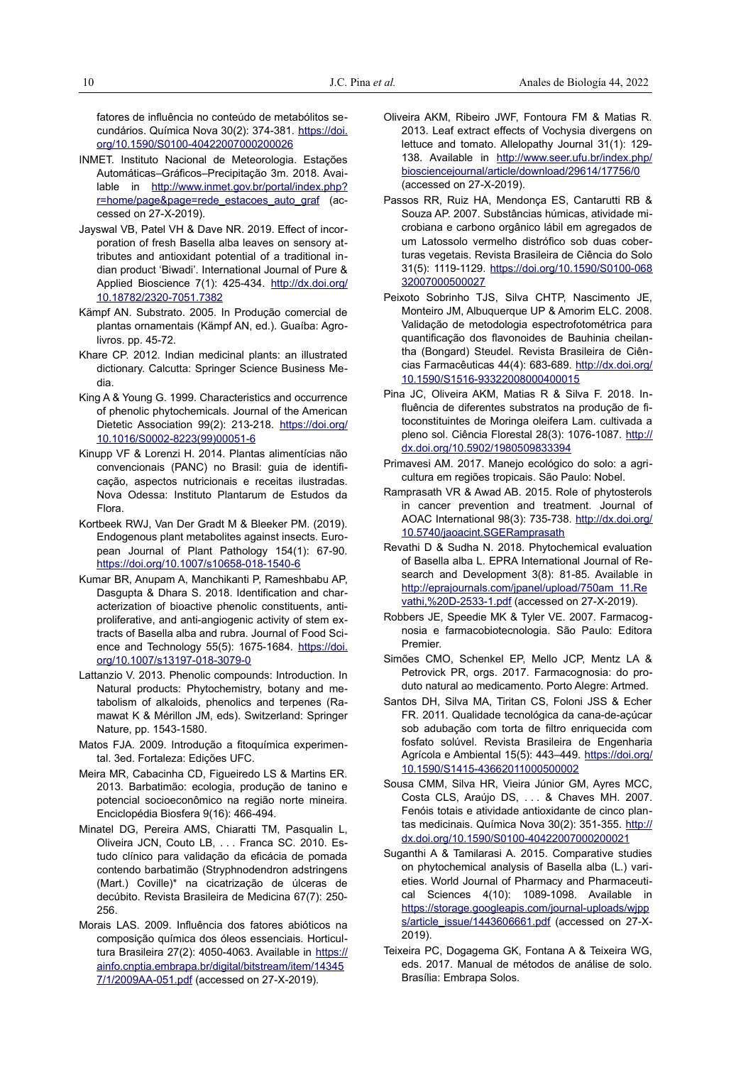fatores de influência no conteúdo de metabólitos secundários. Química Nova 30(2): 374-381. [https://doi.](https://doi.org/10.1590/S0100-40422007000200026) [org/10.1590/S0100-40422007000200026](https://doi.org/10.1590/S0100-40422007000200026)

- INMET. Instituto Nacional de Meteorologia. Estações Automáticas–Gráficos–Precipitação 3m. 2018. Available in [http://www.inmet.gov.br/portal/index.php?](http://www.inmet.gov.br/portal/index.php?r=home/page&page=rede_estacoes_auto_graf) [r=home/page&page=rede\\_estacoes\\_auto\\_graf](http://www.inmet.gov.br/portal/index.php?r=home/page&page=rede_estacoes_auto_graf) (accessed on 27-X-2019).
- Jayswal VB, Patel VH & Dave NR. 2019. Effect of incorporation of fresh Basella alba leaves on sensory attributes and antioxidant potential of a traditional indian product 'Biwadi'. International Journal of Pure & Applied Bioscience 7(1): 425-434. [http://dx.doi.org/](http://dx.doi.org/10.18782/2320-7051.7382) [10.18782/2320-7051.7382](http://dx.doi.org/10.18782/2320-7051.7382)
- Kämpf AN. Substrato. 2005. In Produção comercial de plantas ornamentais (Kämpf AN, ed.). Guaíba: Agrolivros. pp. 45-72.
- Khare CP. 2012. Indian medicinal plants: an illustrated dictionary. Calcutta: Springer Science Business Media.
- King A & Young G. 1999. Characteristics and occurrence of phenolic phytochemicals. Journal of the American Dietetic Association 99(2): 213-218. [https://doi.org/](https://doi.org/10.1016/S0002-8223(99)00051-6) [10.1016/S0002-8223\(99\)00051-6](https://doi.org/10.1016/S0002-8223(99)00051-6)
- Kinupp VF & Lorenzi H. 2014. Plantas alimentícias não convencionais (PANC) no Brasil: guia de identificação, aspectos nutricionais e receitas ilustradas. Nova Odessa: Instituto Plantarum de Estudos da Flora.
- Kortbeek RWJ, Van Der Gradt M & Bleeker PM. (2019). Endogenous plant metabolites against insects. European Journal of Plant Pathology 154(1): 67-90. <https://doi.org/10.1007/s10658-018-1540-6>
- Kumar BR, Anupam A, Manchikanti P, Rameshbabu AP, Dasgupta & Dhara S. 2018. Identification and characterization of bioactive phenolic constituents, antiproliferative, and anti-angiogenic activity of stem extracts of Basella alba and rubra. Journal of Food Science and Technology 55(5): 1675-1684. [https://doi.](https://doi.org/10.1007/s13197-018-3079-0) [org/10.1007/s13197-018-3079-0](https://doi.org/10.1007/s13197-018-3079-0)
- Lattanzio V. 2013. Phenolic compounds: Introduction. In Natural products: Phytochemistry, botany and metabolism of alkaloids, phenolics and terpenes (Ramawat K & Mérillon JM, eds). Switzerland: Springer Nature, pp. 1543-1580.
- Matos FJA. 2009. Introdução a fitoquímica experimental. 3ed. Fortaleza: Edições UFC.
- Meira MR, Cabacinha CD, Figueiredo LS & Martins ER. 2013. Barbatimão: ecologia, produção de tanino e potencial socioeconômico na região norte mineira. Enciclopédia Biosfera 9(16): 466-494.
- Minatel DG, Pereira AMS, Chiaratti TM, Pasqualin L, Oliveira JCN, Couto LB, . . . Franca SC. 2010. Estudo clínico para validação da eficácia de pomada contendo barbatimão (Stryphnodendron adstringens (Mart.) Coville)\* na cicatrização de úlceras de decúbito. Revista Brasileira de Medicina 67(7): 250- 256.
- Morais LAS. 2009. Influência dos fatores abióticos na composição química dos óleos essenciais. Horticultura Brasileira 27(2): 4050-4063. Available in [https://](https://ainfo.cnptia.embrapa.br/digital/bitstream/item/143457/1/2009AA-051.pdf) [ainfo.cnptia.embrapa.br/digital/bitstream/item/14345](https://ainfo.cnptia.embrapa.br/digital/bitstream/item/143457/1/2009AA-051.pdf) [7/1/2009AA-051.pdf](https://ainfo.cnptia.embrapa.br/digital/bitstream/item/143457/1/2009AA-051.pdf) (accessed on 27-X-2019).
- Oliveira AKM, Ribeiro JWF, Fontoura FM & Matias R. 2013. Leaf extract effects of Vochysia divergens on lettuce and tomato. Allelopathy Journal 31(1): 129- 138. Available in [http://www.seer.ufu.br/index.php/](http://www.seer.ufu.br/index.php/biosciencejournal/article/download/29614/17756/0) [biosciencejournal/article/download/29614/17756/0](http://www.seer.ufu.br/index.php/biosciencejournal/article/download/29614/17756/0) (accessed on 27-X-2019).
- Passos RR, Ruiz HA, Mendonça ES, Cantarutti RB & Souza AP. 2007. Substâncias húmicas, atividade microbiana e carbono orgânico lábil em agregados de um Latossolo vermelho distrófico sob duas coberturas vegetais. Revista Brasileira de Ciência do Solo 31(5): 1119-1129. [https://doi.org/10.1590/S0100-068](https://doi.org/10.1590/S0100-06832007000500027) [32007000500027](https://doi.org/10.1590/S0100-06832007000500027)
- Peixoto Sobrinho TJS, Silva CHTP, Nascimento JE, Monteiro JM, Albuquerque UP & Amorim ELC. 2008. Validação de metodologia espectrofotométrica para quantificação dos flavonoides de Bauhinia cheilantha (Bongard) Steudel. Revista Brasileira de Ciências Farmacêuticas 44(4): 683-689. [http://dx.doi.org/](http://dx.doi.org/10.1590/S1516-93322008000400015) [10.1590/S1516-93322008000400015](http://dx.doi.org/10.1590/S1516-93322008000400015)
- Pina JC, Oliveira AKM, Matias R & Silva F. 2018. Influência de diferentes substratos na produção de fitoconstituintes de Moringa oleifera Lam. cultivada a pleno sol. Ciência Florestal 28(3): 1076-1087. [http://](http://dx.doi.org/10.5902/1980509833394) [dx.doi.org/10.5902/1980509833394](http://dx.doi.org/10.5902/1980509833394)
- Primavesi AM. 2017. Manejo ecológico do solo: a agricultura em regiões tropicais. São Paulo: Nobel.
- Ramprasath VR & Awad AB. 2015. Role of phytosterols in cancer prevention and treatment. Journal of AOAC International 98(3): 735-738. [http://dx.doi.org/](http://dx.doi.org/10.5740/jaoacint.SGERamprasath) [10.5740/jaoacint.SGERamprasath](http://dx.doi.org/10.5740/jaoacint.SGERamprasath)
- Revathi D & Sudha N. 2018. Phytochemical evaluation of Basella alba L. EPRA International Journal of Research and Development 3(8): 81-85. Available in [http://eprajournals.com/jpanel/upload/750am\\_11.Re](http://eprajournals.com/jpanel/upload/750am_11.Revathi,%20D-2533-1.pdf) [vathi,%20D-2533-1.pdf](http://eprajournals.com/jpanel/upload/750am_11.Revathi,%20D-2533-1.pdf) (accessed on 27-X-2019).
- Robbers JE, Speedie MK & Tyler VE. 2007. Farmacognosia e farmacobiotecnologia. São Paulo: Editora Premier.
- Simões CMO, Schenkel EP, Mello JCP, Mentz LA & Petrovick PR, orgs. 2017. Farmacognosia: do produto natural ao medicamento. Porto Alegre: Artmed.
- Santos DH, Silva MA, Tiritan CS, Foloni JSS & Echer FR. 2011. Qualidade tecnológica da cana-de-açúcar sob adubação com torta de filtro enriquecida com fosfato solúvel. Revista Brasileira de Engenharia Agrícola e Ambiental 15(5): 443–449. [https://doi.org/](https://doi.org/10.1590/S1415-43662011000500002) [10.1590/S1415-43662011000500002](https://doi.org/10.1590/S1415-43662011000500002)
- Sousa CMM, Silva HR, Vieira Júnior GM, Ayres MCC, Costa CLS, Araújo DS, . . . & Chaves MH. 2007. Fenóis totais e atividade antioxidante de cinco plantas medicinais. Química Nova 30(2): 351-355. [http://](http://dx.doi.org/10.1590/S0100-40422007000200021) [dx.doi.org/10.1590/S0100-40422007000200021](http://dx.doi.org/10.1590/S0100-40422007000200021)
- Suganthi A & Tamilarasi A. 2015. Comparative studies on phytochemical analysis of Basella alba (L.) varieties. World Journal of Pharmacy and Pharmaceutical Sciences 4(10): 1089-1098. Available in [https://storage.googleapis.com/journal-uploads/wjpp](https://storage.googleapis.com/journal-uploads/wjpps/article_issue/1443606661.pdf) [s/article\\_issue/1443606661.pdf](https://storage.googleapis.com/journal-uploads/wjpps/article_issue/1443606661.pdf) (accessed on 27-X-2019).
- Teixeira PC, Dogagema GK, Fontana A & Teixeira WG, eds. 2017. Manual de métodos de análise de solo. Brasília: Embrapa Solos.